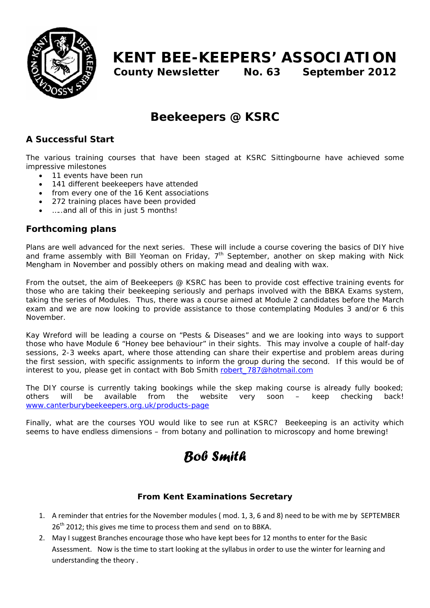

# **KENT BEE-KEEPERS' ASSOCIATION**

**County Newsletter No. 63 September 2012**

## **Beekeepers @ KSRC**

### *A Successful Start*

The various training courses that have been staged at KSRC Sittingbourne have achieved some impressive milestones

- 11 events have been run
- 141 different beekeepers have attended
- from every one of the 16 Kent associations
- 272 training places have been provided
- …..and all of this in just 5 months!

### *Forthcoming plans*

Plans are well advanced for the next series. These will include a course covering the basics of DIY hive and frame assembly with Bill Yeoman on Friday,  $7<sup>th</sup>$  September, another on skep making with Nick Mengham in November and possibly others on making mead and dealing with wax.

From the outset, the aim of Beekeepers @ KSRC has been to provide cost effective training events for those who are taking their beekeeping seriously and perhaps involved with the BBKA Exams system, taking the series of Modules. Thus, there was a course aimed at Module 2 candidates before the March exam and we are now looking to provide assistance to those contemplating Modules 3 and/or 6 this November.

Kay Wreford will be leading a course on "Pests & Diseases" and we are looking into ways to support those who have Module 6 "Honey bee behaviour" in their sights. This may involve a couple of half-day sessions, 2-3 weeks apart, where those attending can share their expertise and problem areas during the first session, with specific assignments to inform the group during the second. If this would be of interest to you, please get in contact with Bob Smith robert\_787@hotmail.com

The DIY course is currently taking bookings while the skep making course is already fully booked; others will be available from the website very soon – keep checking back! www.canterburybeekeepers.org.uk/products-page

Finally, what are the courses YOU would like to see run at KSRC? Beekeeping is an activity which seems to have endless dimensions – from botany and pollination to microscopy and home brewing!

# *Bob Smith*

### **From Kent Examinations Secretary**

- 1. A reminder that entries for the November modules ( mod. 1, 3, 6 and 8) need to be with me by SEPTEMBER 26<sup>th</sup> 2012; this gives me time to process them and send on to BBKA.
- 2. May I suggest Branches encourage those who have kept bees for 12 months to enter for the Basic Assessment. Now is the time to start looking at the syllabus in order to use the winter for learning and understanding the theory .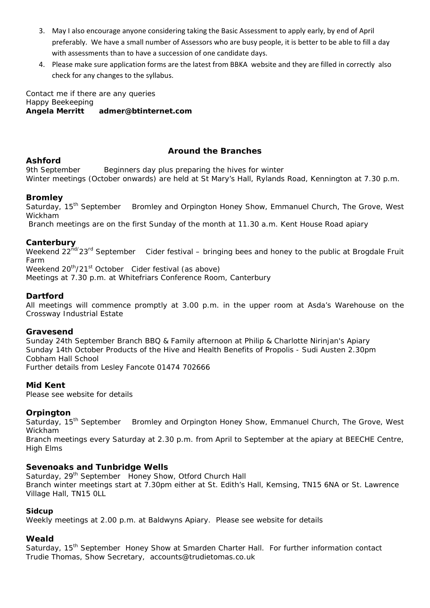- 3. May I also encourage anyone considering taking the Basic Assessment to apply early, by end of April preferably. We have a small number of Assessors who are busy people, it is better to be able to fill a day with assessments than to have a succession of one candidate days.
- 4. Please make sure application forms are the latest from BBKA website and they are filled in correctly also check for any changes to the syllabus.

Contact me if there are any queries Happy Beekeeping **Angela Merritt admer@btinternet.com** 

#### **Around the Branches**

#### **Ashford**

9th September Beginners day plus preparing the hives for winter Winter meetings (October onwards) are held at St Mary's Hall, Rylands Road, Kennington at 7.30 p.m.

#### **Bromley**

Saturday, 15<sup>th</sup> September Bromley and Orpington Honey Show, Emmanuel Church, The Grove, West Wickham

Branch meetings are on the first Sunday of the month at 11.30 a.m. Kent House Road apiary

Canterbury<br>Weekend 22<sup>nd/</sup>23<sup>rd</sup> September Cider festival – bringing bees and honey to the public at Brogdale Fruit Farm

Weekend  $20^{th}/21^{st}$  October Cider festival (as above)

Meetings at 7.30 p.m. at Whitefriars Conference Room, Canterbury

#### **Dartford**

All meetings will commence promptly at 3.00 p.m. in the upper room at Asda's Warehouse on the Crossway Industrial Estate

#### **Gravesend**

Sunday 24th September Branch BBQ & Family afternoon at Philip & Charlotte Nirinjan's Apiary Sunday 14th October Products of the Hive and Health Benefits of Propolis - Sudi Austen 2.30pm Cobham Hall School Further details from Lesley Fancote 01474 702666

**Mid Kent**

Please see website for details

#### **Orpington**

Saturday, 15<sup>th</sup> September Bromley and Orpington Honey Show, Emmanuel Church, The Grove, West Wickham

Branch meetings every Saturday at 2.30 p.m. from April to September at the apiary at BEECHE Centre, High Elms

#### **Sevenoaks and Tunbridge Wells**

Saturday, 29<sup>th</sup> September Honey Show, Otford Church Hall Branch winter meetings start at 7.30pm either at St. Edith's Hall, Kemsing, TN15 6NA or St. Lawrence Village Hall, TN15 0LL

#### **Sidcup**

Weekly meetings at 2.00 p.m. at Baldwyns Apiary. Please see website for details

#### **Weald**

Saturday, 15<sup>th</sup> September Honey Show at Smarden Charter Hall. For further information contact Trudie Thomas, Show Secretary, accounts@trudietomas.co.uk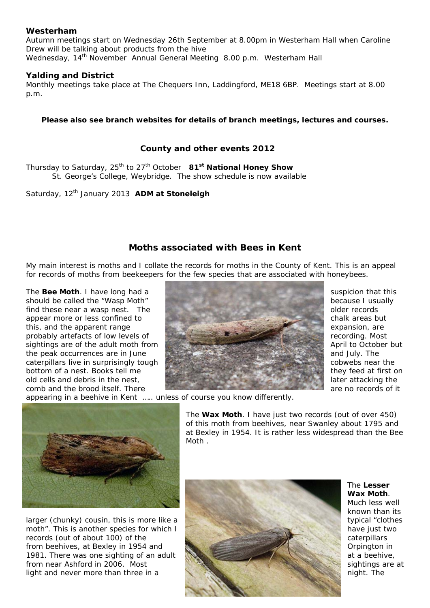#### **Westerham**

Autumn meetings start on Wednesday 26th September at 8.00pm in Westerham Hall when Caroline Drew will be talking about products from the hive Wednesday, 14<sup>th</sup> November Annual General Meeting 8.00 p.m. Westerham Hall

#### **Yalding and District**

Monthly meetings take place at The Chequers Inn, Laddingford, ME18 6BP. Meetings start at 8.00 p.m.

#### **Please also see branch websites for details of branch meetings, lectures and courses.**

#### **County and other events 2012**

Thursday to Saturday, 25<sup>th</sup> to 27<sup>th</sup> October 81<sup>st</sup> National Honey Show St. George's College, Weybridge. The show schedule is now available

Saturday, 12<sup>th</sup> January 2013 **ADM at Stoneleigh** 

#### **Moths associated with Bees in Kent**

My main interest is moths and I collate the records for moths in the County of Kent. This is an appeal for records of moths from beekeepers for the few species that are associated with honeybees.



appearing in a beehive in Kent ….. unless of course you know differently.



The **Wax Moth**. I have just two records (out of over 450) of this moth from beehives, near Swanley about 1795 and at Bexley in 1954. It is rather less widespread than the Bee Moth .



The **Lesser Wax Moth**. Much less well known than its